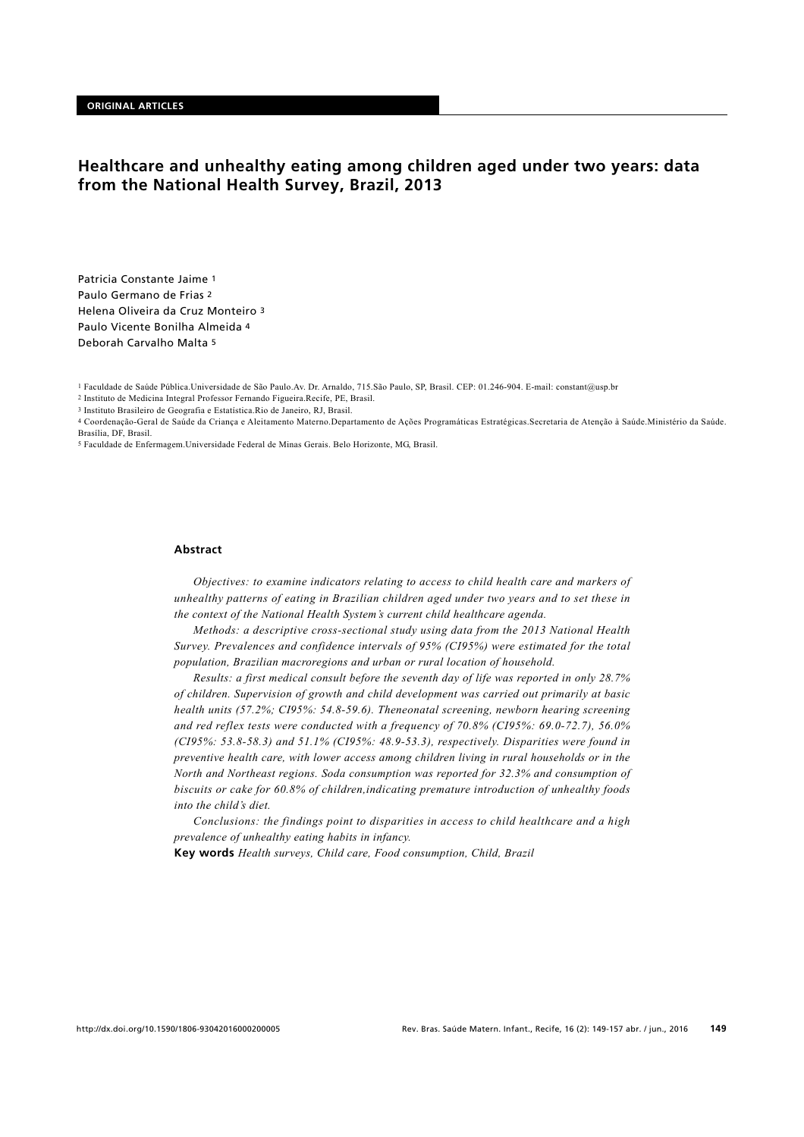# **Healthcare and unhealthy eating among children aged under two years: data from the National Health Survey, Brazil, 2013**

Patricia Constante Jaime 1 Paulo Germano de Frias 2 Helena Oliveira da Cruz Monteiro 3 Paulo Vicente Bonilha Almeida 4 Deborah Carvalho Malta 5

1 Faculdade de Saúde Pública.Universidade de São Paulo.Av. Dr. Arnaldo, 715.São Paulo, SP, Brasil. CEP: 01.246-904. E-mail: constant@usp.br

2 Instituto de Medicina Integral Professor Fernando Figueira.Recife, PE, Brasil.

3 Instituto Brasileiro de Geografia e Estatística.Rio de Janeiro, RJ, Brasil.

4 Coordenação-Geral de Saúde da Criança e Aleitamento Materno.Departamento de Ações Programáticas Estratégicas.Secretaria de Atenção à Saúde.Ministério da Saúde. Brasília, DF, Brasil.

5 Faculdade de Enfermagem.Universidade Federal de Minas Gerais. Belo Horizonte, MG, Brasil.

## **Abstract**

*Objectives: to examine indicators relating to access to child health care and markers of unhealthy patterns of eating in Brazilian children aged under two years and to set these in the context of the National Health System's current child healthcare agenda.*

*Methods: a descriptive cross-sectional study using data from the 2013 National Health Survey. Prevalences and confidence intervals of 95% (CI95%) were estimated for the total population, Brazilian macroregions and urban or rural location of household.*

*Results: a first medical consult before the seventh day of life was reported in only 28.7% of children. Supervision of growth and child development was carried out primarily at basic health units (57.2%; CI95%: 54.8-59.6). Theneonatal screening, newborn hearing screening and red reflex tests were conducted with a frequency of 70.8% (CI95%: 69.0-72.7), 56.0% (CI95%: 53.8-58.3) and 51.1% (CI95%: 48.9-53.3), respectively. Disparities were found in preventive health care, with lower access among children living in rural households or in the North and Northeast regions. Soda consumption was reported for 32.3% and consumption of biscuits or cake for 60.8% of children,indicating premature introduction of unhealthy foods into the child's diet.*

*Conclusions: the findings point to disparities in access to child healthcare and a high prevalence of unhealthy eating habits in infancy.*

**Key words** *Health surveys, Child care, Food consumption, Child, Brazil*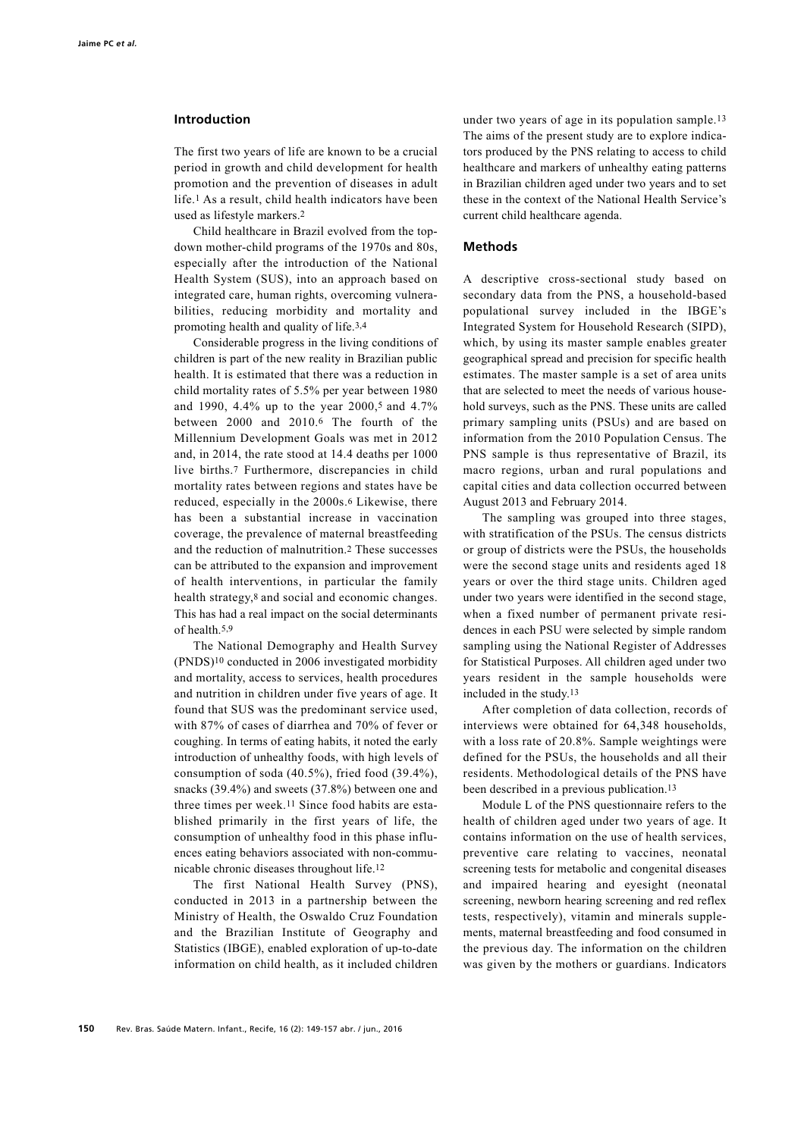## **Introduction**

The first two years of life are known to be a crucial period in growth and child development for health promotion and the prevention of diseases in adult life.1 As a result, child health indicators have been used as lifestyle markers.2

Child healthcare in Brazil evolved from the topdown mother-child programs of the 1970s and 80s, especially after the introduction of the National Health System (SUS), into an approach based on integrated care, human rights, overcoming vulnerabilities, reducing morbidity and mortality and promoting health and quality of life.3,4

Considerable progress in the living conditions of children is part of the new reality in Brazilian public health. It is estimated that there was a reduction in child mortality rates of 5.5% per year between 1980 and 1990, 4.4% up to the year 2000,5 and 4.7% between 2000 and 2010.6 The fourth of the Millennium Development Goals was met in 2012 and, in 2014, the rate stood at 14.4 deaths per 1000 live births.7 Furthermore, discrepancies in child mortality rates between regions and states have be reduced, especially in the 2000s.6 Likewise, there has been a substantial increase in vaccination coverage, the prevalence of maternal breastfeeding and the reduction of malnutrition.2 These successes can be attributed to the expansion and improvement of health interventions, in particular the family health strategy,8 and social and economic changes. This has had a real impact on the social determinants of health.5,9

The National Demography and Health Survey (PNDS)10 conducted in 2006 investigated morbidity and mortality, access to services, health procedures and nutrition in children under five years of age. It found that SUS was the predominant service used, with 87% of cases of diarrhea and 70% of fever or coughing. In terms of eating habits, it noted the early introduction of unhealthy foods, with high levels of consumption of soda (40.5%), fried food (39.4%), snacks (39.4%) and sweets (37.8%) between one and three times per week.11 Since food habits are established primarily in the first years of life, the consumption of unhealthy food in this phase influences eating behaviors associated with non-communicable chronic diseases throughout life.12

The first National Health Survey (PNS), conducted in 2013 in a partnership between the Ministry of Health, the Oswaldo Cruz Foundation and the Brazilian Institute of Geography and Statistics (IBGE), enabled exploration of up-to-date information on child health, as it included children

under two years of age in its population sample.13 The aims of the present study are to explore indicators produced by the PNS relating to access to child healthcare and markers of unhealthy eating patterns in Brazilian children aged under two years and to set these in the context of the National Health Service's current child healthcare agenda.

## **Methods**

A descriptive cross-sectional study based on secondary data from the PNS, a household-based populational survey included in the IBGE's Integrated System for Household Research (SIPD), which, by using its master sample enables greater geographical spread and precision for specific health estimates. The master sample is a set of area units that are selected to meet the needs of various household surveys, such as the PNS. These units are called primary sampling units (PSUs) and are based on information from the 2010 Population Census. The PNS sample is thus representative of Brazil, its macro regions, urban and rural populations and capital cities and data collection occurred between August 2013 and February 2014.

The sampling was grouped into three stages, with stratification of the PSUs. The census districts or group of districts were the PSUs, the households were the second stage units and residents aged 18 years or over the third stage units. Children aged under two years were identified in the second stage, when a fixed number of permanent private residences in each PSU were selected by simple random sampling using the National Register of Addresses for Statistical Purposes. All children aged under two years resident in the sample households were included in the study.13

After completion of data collection, records of interviews were obtained for 64,348 households, with a loss rate of 20.8%. Sample weightings were defined for the PSUs, the households and all their residents. Methodological details of the PNS have been described in a previous publication.13

Module L of the PNS questionnaire refers to the health of children aged under two years of age. It contains information on the use of health services, preventive care relating to vaccines, neonatal screening tests for metabolic and congenital diseases and impaired hearing and eyesight (neonatal screening, newborn hearing screening and red reflex tests, respectively), vitamin and minerals supplements, maternal breastfeeding and food consumed in the previous day. The information on the children was given by the mothers or guardians. Indicators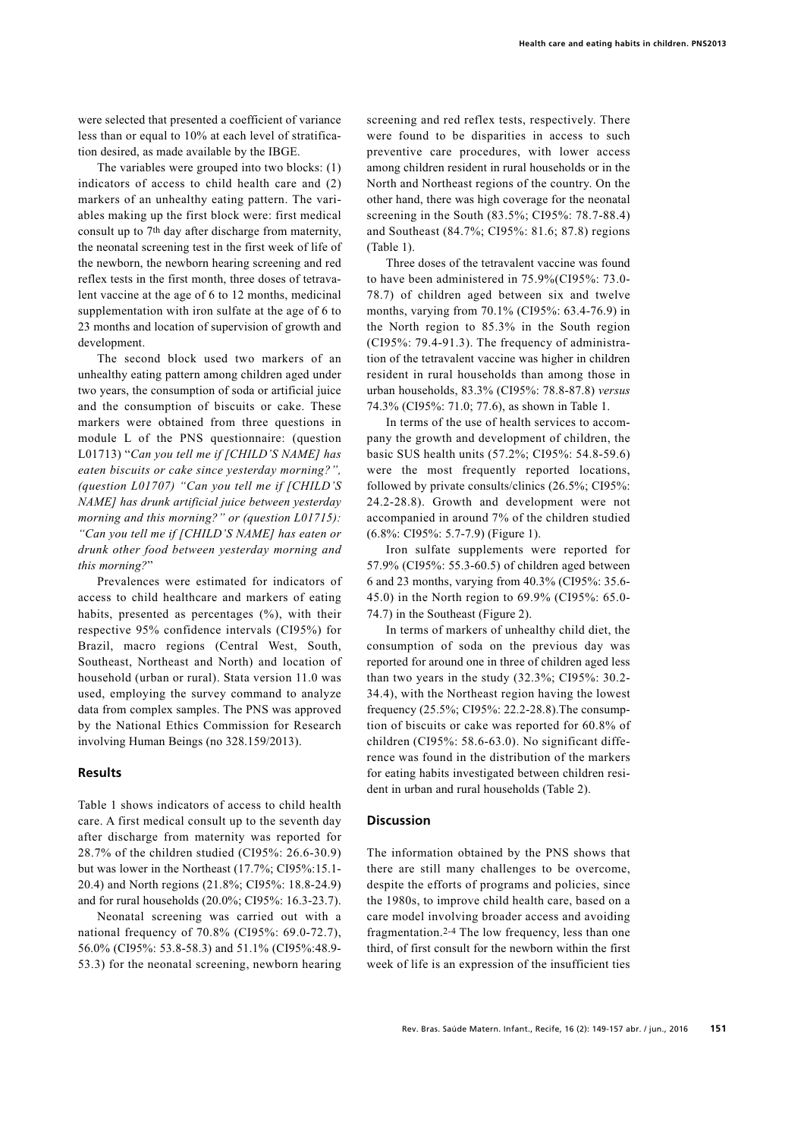were selected that presented a coefficient of variance less than or equal to 10% at each level of stratification desired, as made available by the IBGE.

The variables were grouped into two blocks: (1) indicators of access to child health care and (2) markers of an unhealthy eating pattern. The variables making up the first block were: first medical consult up to 7th day after discharge from maternity, the neonatal screening test in the first week of life of the newborn, the newborn hearing screening and red reflex tests in the first month, three doses of tetravalent vaccine at the age of 6 to 12 months, medicinal supplementation with iron sulfate at the age of 6 to 23 months and location of supervision of growth and development.

The second block used two markers of an unhealthy eating pattern among children aged under two years, the consumption of soda or artificial juice and the consumption of biscuits or cake. These markers were obtained from three questions in module L of the PNS questionnaire: (question L01713) "*Can you tell me if [CHILD'S NAME] has eaten biscuits or cake since yesterday morning?", (question L01707) "Can you tell me if [CHILD'S NAME] has drunk artificial juice between yesterday morning and this morning?" or (question L01715): "Can you tell me if [CHILD'S NAME] has eaten or drunk other food between yesterday morning and this morning?*"

Prevalences were estimated for indicators of access to child healthcare and markers of eating habits, presented as percentages (%), with their respective 95% confidence intervals (CI95%) for Brazil, macro regions (Central West, South, Southeast, Northeast and North) and location of household (urban or rural). Stata version 11.0 was used, employing the survey command to analyze data from complex samples. The PNS was approved by the National Ethics Commission for Research involving Human Beings (no 328.159/2013).

# **Results**

Table 1 shows indicators of access to child health care. A first medical consult up to the seventh day after discharge from maternity was reported for 28.7% of the children studied (CI95%: 26.6-30.9) but was lower in the Northeast (17.7%; CI95%:15.1- 20.4) and North regions (21.8%; CI95%: 18.8-24.9) and for rural households (20.0%; CI95%: 16.3-23.7).

Neonatal screening was carried out with a national frequency of 70.8% (CI95%: 69.0-72.7), 56.0% (CI95%: 53.8-58.3) and 51.1% (CI95%:48.9- 53.3) for the neonatal screening, newborn hearing

screening and red reflex tests, respectively. There were found to be disparities in access to such preventive care procedures, with lower access among children resident in rural households or in the North and Northeast regions of the country. On the other hand, there was high coverage for the neonatal screening in the South (83.5%; CI95%: 78.7-88.4) and Southeast (84.7%; CI95%: 81.6; 87.8) regions (Table 1).

Three doses of the tetravalent vaccine was found to have been administered in 75.9%(CI95%: 73.0- 78.7) of children aged between six and twelve months, varying from 70.1% (CI95%: 63.4-76.9) in the North region to 85.3% in the South region (CI95%: 79.4-91.3). The frequency of administration of the tetravalent vaccine was higher in children resident in rural households than among those in urban households, 83.3% (CI95%: 78.8-87.8) *versus* 74.3% (CI95%: 71.0; 77.6), as shown in Table 1.

In terms of the use of health services to accompany the growth and development of children, the basic SUS health units (57.2%; CI95%: 54.8-59.6) were the most frequently reported locations, followed by private consults/clinics (26.5%; CI95%: 24.2-28.8). Growth and development were not accompanied in around 7% of the children studied (6.8%: CI95%: 5.7-7.9) (Figure 1).

Iron sulfate supplements were reported for 57.9% (CI95%: 55.3-60.5) of children aged between 6 and 23 months, varying from 40.3% (CI95%: 35.6- 45.0) in the North region to 69.9% (CI95%: 65.0- 74.7) in the Southeast (Figure 2).

In terms of markers of unhealthy child diet, the consumption of soda on the previous day was reported for around one in three of children aged less than two years in the study (32.3%; CI95%: 30.2- 34.4), with the Northeast region having the lowest frequency (25.5%; CI95%: 22.2-28.8).The consumption of biscuits or cake was reported for 60.8% of children (CI95%: 58.6-63.0). No significant difference was found in the distribution of the markers for eating habits investigated between children resident in urban and rural households (Table 2).

#### **Discussion**

The information obtained by the PNS shows that there are still many challenges to be overcome, despite the efforts of programs and policies, since the 1980s, to improve child health care, based on a care model involving broader access and avoiding fragmentation.2-4 The low frequency, less than one third, of first consult for the newborn within the first week of life is an expression of the insufficient ties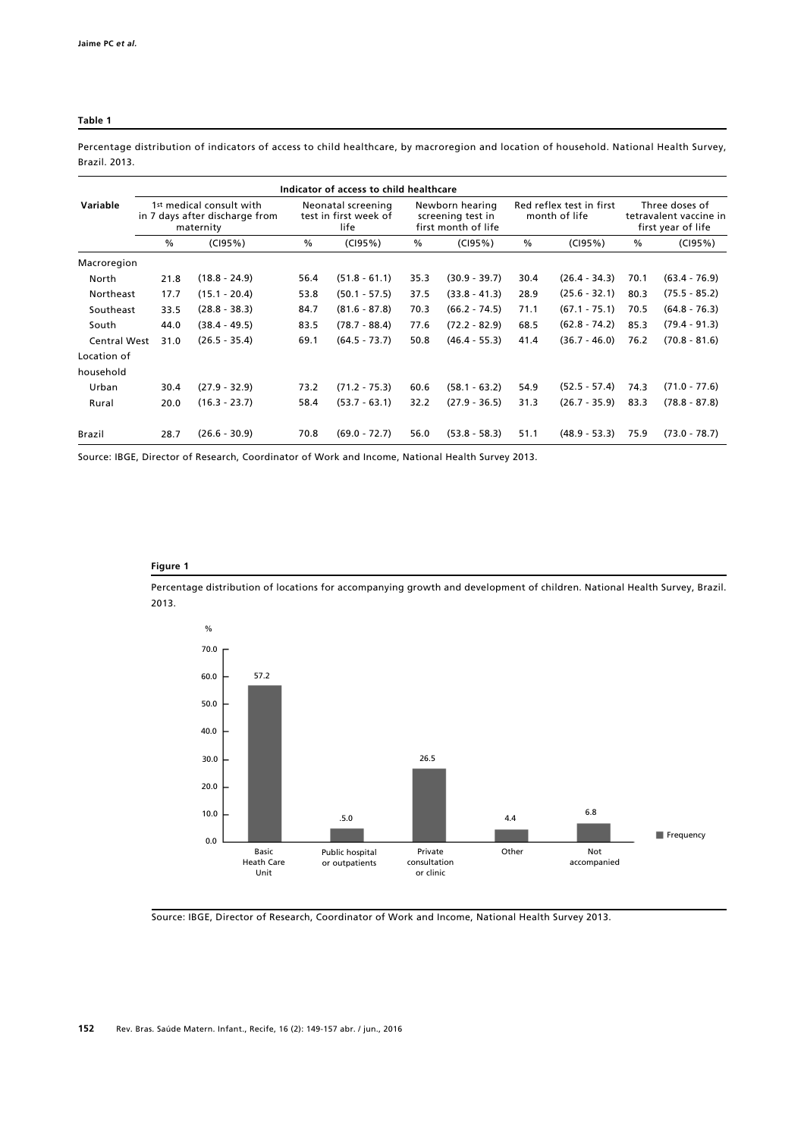#### **Table 1**

**Indicator of access to child healthcare Variable** 1st medical consult with Neonatal screening Newborn hearing Red reflex test in first Three doses of in 7 days after discharge from test in first week of screening test in month of life tetravalent vaccine in maternity life tetravalent vaccine first month of life first year of life first month of life % (CI95%) % (CI95%) % (CI95%) % (CI95%) % (CI95%) (18.8 - 24.9) (15.1 - 20.4) (28.8 - 38.3) (38.4 - 49.5) (26.5 - 35.4) (27.9 - 32.9) (16.3 - 23.7) (26.6 - 30.9) 56.4 53.8 84.7 83.5 69.1 73.2 58.4 70.8 35.3 37.5 70.3 77.6 50.8 60.6 32.2 56.0 (30.9 - 39.7) (33.8 - 41.3) (66.2 - 74.5) (72.2 - 82.9) (46.4 - 55.3) (58.1 - 63.2) (27.9 - 36.5) (53.8 - 58.3) (26.4 - 34.3) (25.6 - 32.1) (67.1 - 75.1) (62.8 - 74.2) (36.7 - 46.0) (52.5 - 57.4) (26.7 - 35.9) (48.9 - 53.3) (63.4 - 76.9) (75.5 - 85.2) (64.8 - 76.3) (79.4 - 91.3) (70.8 - 81.6) (71.0 - 77.6) (78.8 - 87.8) (73.0 - 78.7) Macroregion North Northeast Southeast South Central West Location of household Urban Rural Brazil 21.8 17.7 33.5 44.0 31.0 30.4 20.0 28.7 (51.8 - 61.1) (50.1 - 57.5) (81.6 - 87.8) (78.7 - 88.4) (64.5 - 73.7) (71.2 - 75.3) (53.7 - 63.1) (69.0 - 72.7) 30.4 28.9 71.1 68.5 41.4 54.9 31.3 51.1 70.1 80.3 70.5 85.3 76.2 74.3 83.3 75.9

Percentage distribution of indicators of access to child healthcare, by macroregion and location of household. National Health Survey, Brazil. 2013.

Source: IBGE, Director of Research, Coordinator of Work and Income, National Health Survey 2013.

### **Figure 1**

Percentage distribution of locations for accompanying growth and development of children. National Health Survey, Brazil. 2013.



Source: IBGE, Director of Research, Coordinator of Work and Income, National Health Survey 2013.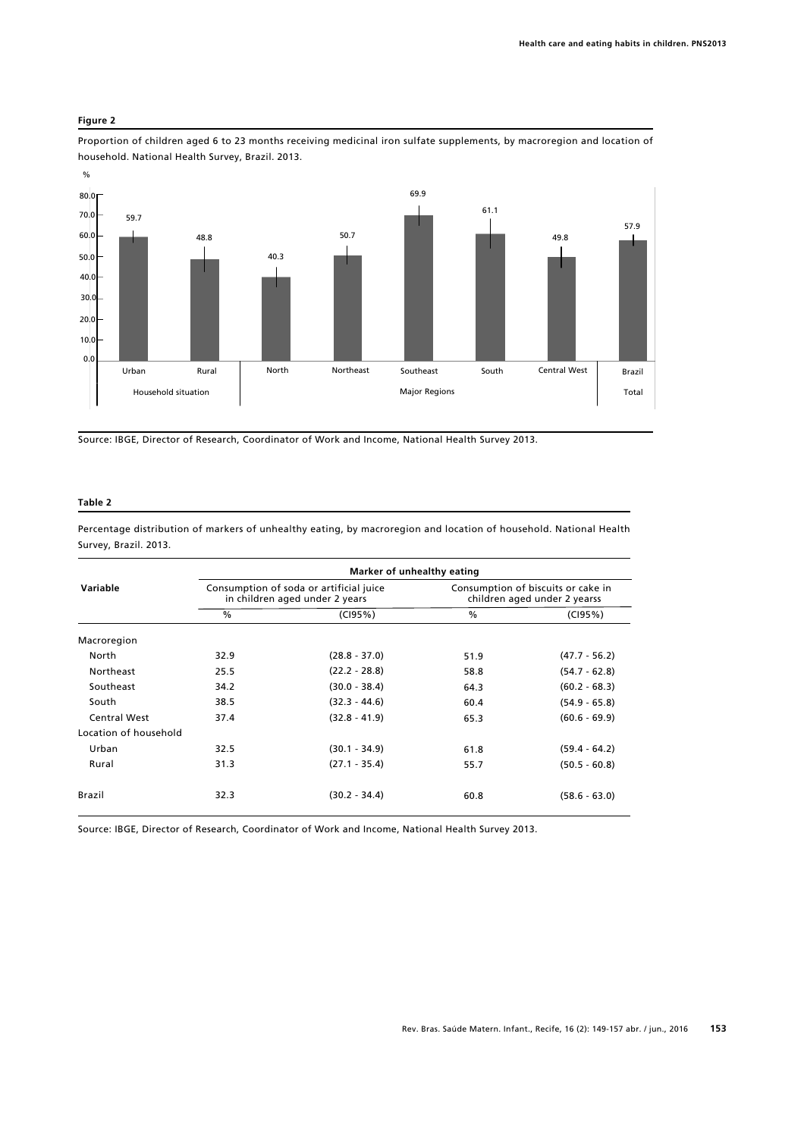### **Figure 2**

Proportion of children aged 6 to 23 months receiving medicinal iron sulfate supplements, by macroregion and location of household. National Health Survey, Brazil. 2013.



Source: IBGE, Director of Research, Coordinator of Work and Income, National Health Survey 2013.

### **Table 2**

Percentage distribution of markers of unhealthy eating, by macroregion and location of household. National Health Survey, Brazil. 2013.

| Variable              | Marker of unhealthy eating                                                |                 |                                                                    |                 |
|-----------------------|---------------------------------------------------------------------------|-----------------|--------------------------------------------------------------------|-----------------|
|                       | Consumption of soda or artificial juice<br>in children aged under 2 years |                 | Consumption of biscuits or cake in<br>children aged under 2 yearss |                 |
|                       | $\frac{0}{0}$                                                             | (C195%)         | %                                                                  | (C195%)         |
| Macroregion           |                                                                           |                 |                                                                    |                 |
| North                 | 32.9                                                                      | $(28.8 - 37.0)$ | 51.9                                                               | $(47.7 - 56.2)$ |
| Northeast             | 25.5                                                                      | $(22.2 - 28.8)$ | 58.8                                                               | $(54.7 - 62.8)$ |
| Southeast             | 34.2                                                                      | $(30.0 - 38.4)$ | 64.3                                                               | $(60.2 - 68.3)$ |
| South                 | 38.5                                                                      | $(32.3 - 44.6)$ | 60.4                                                               | $(54.9 - 65.8)$ |
| <b>Central West</b>   | 37.4                                                                      | $(32.8 - 41.9)$ | 65.3                                                               | $(60.6 - 69.9)$ |
| Location of household |                                                                           |                 |                                                                    |                 |
| Urban                 | 32.5                                                                      | $(30.1 - 34.9)$ | 61.8                                                               | $(59.4 - 64.2)$ |
| Rural                 | 31.3                                                                      | $(27.1 - 35.4)$ | 55.7                                                               | $(50.5 - 60.8)$ |
| <b>Brazil</b>         | 32.3                                                                      | $(30.2 - 34.4)$ | 60.8                                                               | $(58.6 - 63.0)$ |

Source: IBGE, Director of Research, Coordinator of Work and Income, National Health Survey 2013.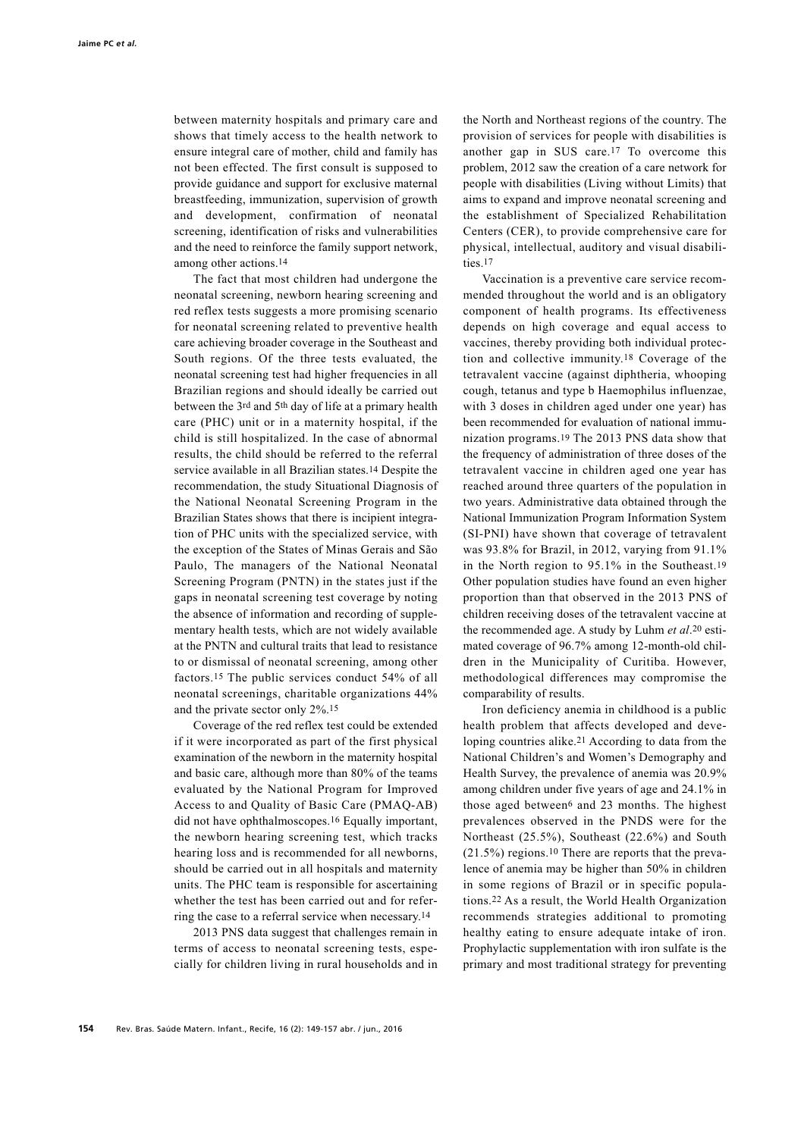between maternity hospitals and primary care and shows that timely access to the health network to ensure integral care of mother, child and family has not been effected. The first consult is supposed to provide guidance and support for exclusive maternal breastfeeding, immunization, supervision of growth and development, confirmation of neonatal screening, identification of risks and vulnerabilities and the need to reinforce the family support network, among other actions.14

The fact that most children had undergone the neonatal screening, newborn hearing screening and red reflex tests suggests a more promising scenario for neonatal screening related to preventive health care achieving broader coverage in the Southeast and South regions. Of the three tests evaluated, the neonatal screening test had higher frequencies in all Brazilian regions and should ideally be carried out between the 3rd and 5th day of life at a primary health care (PHC) unit or in a maternity hospital, if the child is still hospitalized. In the case of abnormal results, the child should be referred to the referral service available in all Brazilian states.14 Despite the recommendation, the study Situational Diagnosis of the National Neonatal Screening Program in the Brazilian States shows that there is incipient integration of PHC units with the specialized service, with the exception of the States of Minas Gerais and São Paulo, The managers of the National Neonatal Screening Program (PNTN) in the states just if the gaps in neonatal screening test coverage by noting the absence of information and recording of supplementary health tests, which are not widely available at the PNTN and cultural traits that lead to resistance to or dismissal of neonatal screening, among other factors.15 The public services conduct 54% of all neonatal screenings, charitable organizations 44% and the private sector only 2%.15

Coverage of the red reflex test could be extended if it were incorporated as part of the first physical examination of the newborn in the maternity hospital and basic care, although more than 80% of the teams evaluated by the National Program for Improved Access to and Quality of Basic Care (PMAQ-AB) did not have ophthalmoscopes.16 Equally important, the newborn hearing screening test, which tracks hearing loss and is recommended for all newborns, should be carried out in all hospitals and maternity units. The PHC team is responsible for ascertaining whether the test has been carried out and for referring the case to a referral service when necessary.14

2013 PNS data suggest that challenges remain in terms of access to neonatal screening tests, especially for children living in rural households and in

the North and Northeast regions of the country. The provision of services for people with disabilities is another gap in SUS care.17 To overcome this problem, 2012 saw the creation of a care network for people with disabilities (Living without Limits) that aims to expand and improve neonatal screening and the establishment of Specialized Rehabilitation Centers (CER), to provide comprehensive care for physical, intellectual, auditory and visual disabilities.17

Vaccination is a preventive care service recommended throughout the world and is an obligatory component of health programs. Its effectiveness depends on high coverage and equal access to vaccines, thereby providing both individual protection and collective immunity.18 Coverage of the tetravalent vaccine (against diphtheria, whooping cough, tetanus and type b Haemophilus influenzae, with 3 doses in children aged under one year) has been recommended for evaluation of national immunization programs.19 The 2013 PNS data show that the frequency of administration of three doses of the tetravalent vaccine in children aged one year has reached around three quarters of the population in two years. Administrative data obtained through the National Immunization Program Information System (SI-PNI) have shown that coverage of tetravalent was 93.8% for Brazil, in 2012, varying from 91.1% in the North region to 95.1% in the Southeast.19 Other population studies have found an even higher proportion than that observed in the 2013 PNS of children receiving doses of the tetravalent vaccine at the recommended age. A study by Luhm *et al*.20 estimated coverage of 96.7% among 12-month-old children in the Municipality of Curitiba. However, methodological differences may compromise the comparability of results.

Iron deficiency anemia in childhood is a public health problem that affects developed and developing countries alike.21 According to data from the National Children's and Women's Demography and Health Survey, the prevalence of anemia was 20.9% among children under five years of age and 24.1% in those aged between<sup>6</sup> and 23 months. The highest prevalences observed in the PNDS were for the Northeast (25.5%), Southeast (22.6%) and South (21.5%) regions.10 There are reports that the prevalence of anemia may be higher than 50% in children in some regions of Brazil or in specific populations.22 As a result, the World Health Organization recommends strategies additional to promoting healthy eating to ensure adequate intake of iron. Prophylactic supplementation with iron sulfate is the primary and most traditional strategy for preventing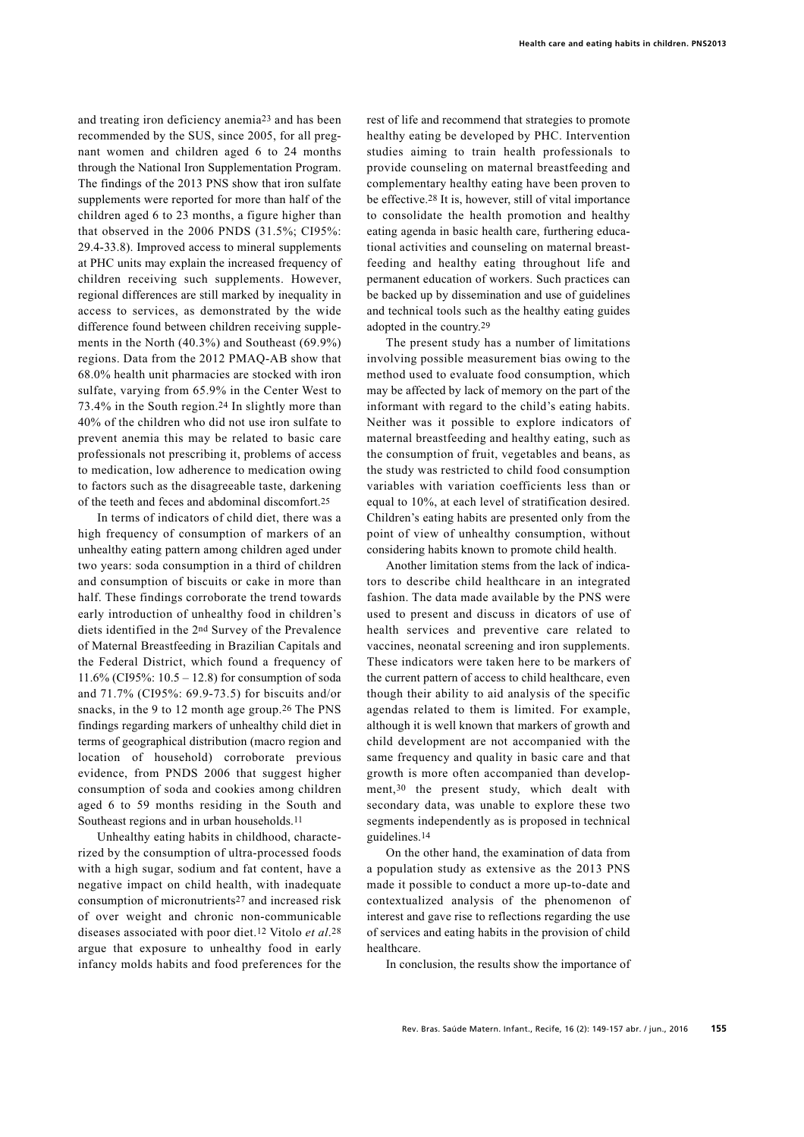and treating iron deficiency anemia23 and has been recommended by the SUS, since 2005, for all pregnant women and children aged 6 to 24 months through the National Iron Supplementation Program. The findings of the 2013 PNS show that iron sulfate supplements were reported for more than half of the children aged 6 to 23 months, a figure higher than that observed in the 2006 PNDS (31.5%; CI95%: 29.4-33.8). Improved access to mineral supplements at PHC units may explain the increased frequency of children receiving such supplements. However, regional differences are still marked by inequality in access to services, as demonstrated by the wide difference found between children receiving supplements in the North (40.3%) and Southeast (69.9%) regions. Data from the 2012 PMAQ-AB show that 68.0% health unit pharmacies are stocked with iron sulfate, varying from 65.9% in the Center West to 73.4% in the South region.24 In slightly more than 40% of the children who did not use iron sulfate to prevent anemia this may be related to basic care professionals not prescribing it, problems of access to medication, low adherence to medication owing to factors such as the disagreeable taste, darkening of the teeth and feces and abdominal discomfort.25

In terms of indicators of child diet, there was a high frequency of consumption of markers of an unhealthy eating pattern among children aged under two years: soda consumption in a third of children and consumption of biscuits or cake in more than half. These findings corroborate the trend towards early introduction of unhealthy food in children's diets identified in the 2nd Survey of the Prevalence of Maternal Breastfeeding in Brazilian Capitals and the Federal District, which found a frequency of 11.6% (CI95%: 10.5 – 12.8) for consumption of soda and 71.7% (CI95%: 69.9-73.5) for biscuits and/or snacks, in the 9 to 12 month age group.26 The PNS findings regarding markers of unhealthy child diet in terms of geographical distribution (macro region and location of household) corroborate previous evidence, from PNDS 2006 that suggest higher consumption of soda and cookies among children aged 6 to 59 months residing in the South and Southeast regions and in urban households.<sup>11</sup>

Unhealthy eating habits in childhood, characterized by the consumption of ultra-processed foods with a high sugar, sodium and fat content, have a negative impact on child health, with inadequate consumption of micronutrients27 and increased risk of over weight and chronic non-communicable diseases associated with poor diet.12 Vitolo *et al*.28 argue that exposure to unhealthy food in early infancy molds habits and food preferences for the

rest of life and recommend that strategies to promote healthy eating be developed by PHC. Intervention studies aiming to train health professionals to provide counseling on maternal breastfeeding and complementary healthy eating have been proven to be effective.28 It is, however, still of vital importance to consolidate the health promotion and healthy eating agenda in basic health care, furthering educational activities and counseling on maternal breastfeeding and healthy eating throughout life and permanent education of workers. Such practices can be backed up by dissemination and use of guidelines and technical tools such as the healthy eating guides adopted in the country.29

The present study has a number of limitations involving possible measurement bias owing to the method used to evaluate food consumption, which may be affected by lack of memory on the part of the informant with regard to the child's eating habits. Neither was it possible to explore indicators of maternal breastfeeding and healthy eating, such as the consumption of fruit, vegetables and beans, as the study was restricted to child food consumption variables with variation coefficients less than or equal to 10%, at each level of stratification desired. Children's eating habits are presented only from the point of view of unhealthy consumption, without considering habits known to promote child health.

Another limitation stems from the lack of indicators to describe child healthcare in an integrated fashion. The data made available by the PNS were used to present and discuss in dicators of use of health services and preventive care related to vaccines, neonatal screening and iron supplements. These indicators were taken here to be markers of the current pattern of access to child healthcare, even though their ability to aid analysis of the specific agendas related to them is limited. For example, although it is well known that markers of growth and child development are not accompanied with the same frequency and quality in basic care and that growth is more often accompanied than development,30 the present study, which dealt with secondary data, was unable to explore these two segments independently as is proposed in technical guidelines.14

On the other hand, the examination of data from a population study as extensive as the 2013 PNS made it possible to conduct a more up-to-date and contextualized analysis of the phenomenon of interest and gave rise to reflections regarding the use of services and eating habits in the provision of child healthcare.

In conclusion, the results show the importance of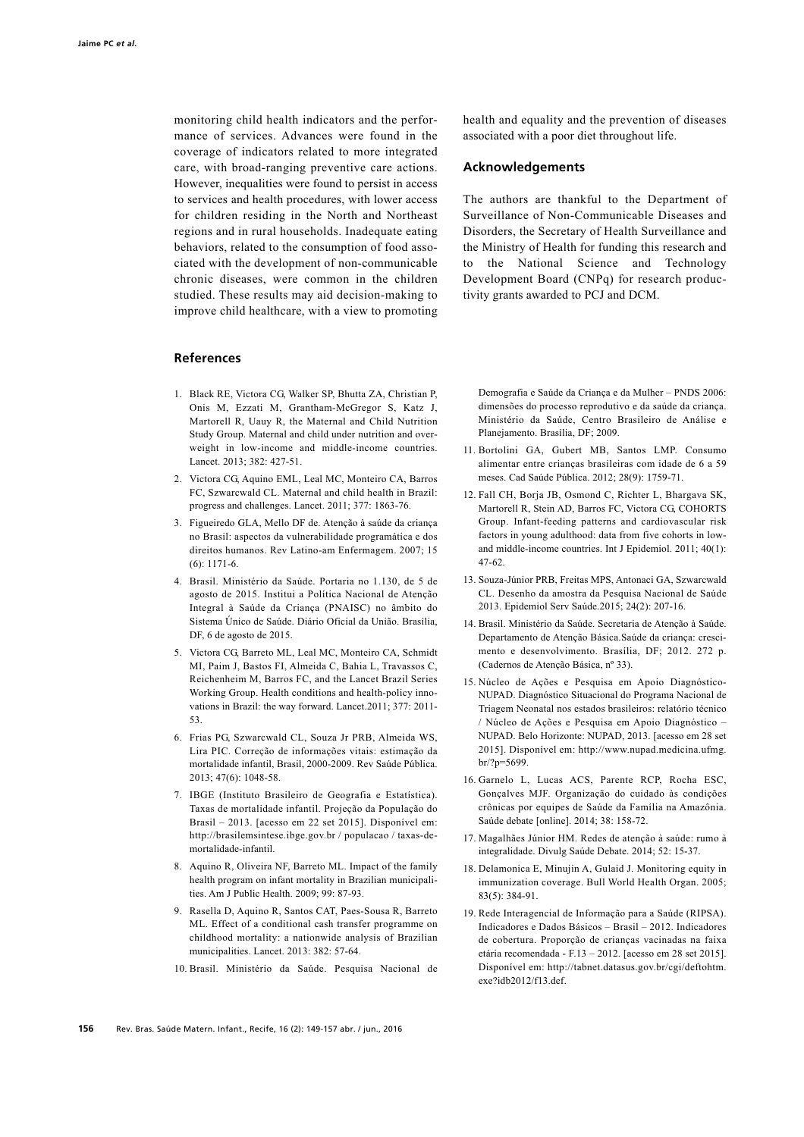monitoring child health indicators and the performance of services. Advances were found in the coverage of indicators related to more integrated care, with broad-ranging preventive care actions. However, inequalities were found to persist in access to services and health procedures, with lower access for children residing in the North and Northeast regions and in rural households. Inadequate eating behaviors, related to the consumption of food associated with the development of non-communicable chronic diseases, were common in the children studied. These results may aid decision-making to improve child healthcare, with a view to promoting

# **References**

- 1. Black RE, Victora CG, Walker SP, Bhutta ZA, Christian P, Onis M, Ezzati M, Grantham-McGregor S, Katz J, Martorell R, Uauy R, the Maternal and Child Nutrition Study Group. Maternal and child under nutrition and overweight in low-income and middle-income countries. Lancet. 2013; 382: 427-51.
- 2. Victora CG, Aquino EML, Leal MC, Monteiro CA, Barros FC, Szwarcwald CL. Maternal and child health in Brazil: progress and challenges. Lancet. 2011; 377: 1863-76.
- 3. Figueiredo GLA, Mello DF de. Atenção à saúde da criança no Brasil: aspectos da vulnerabilidade programática e dos direitos humanos. Rev Latino-am Enfermagem. 2007; 15 (6): 1171-6.
- 4. Brasil. Ministério da Saúde. Portaria no 1.130, de 5 de agosto de 2015. Institui a Política Nacional de Atenção Integral à Saúde da Criança (PNAISC) no âmbito do Sistema Único de Saúde. Diário Oficial da União. Brasília, DF, 6 de agosto de 2015.
- 5. Victora CG, Barreto ML, Leal MC, Monteiro CA, Schmidt MI, Paim J, Bastos FI, Almeida C, Bahia L, Travassos C, Reichenheim M, Barros FC, and the Lancet Brazil Series Working Group. Health conditions and health-policy innovations in Brazil: the way forward. Lancet.2011; 377: 2011- 53.
- 6. Frias PG, Szwarcwald CL, Souza Jr PRB, Almeida WS, Lira PIC. Correção de informações vitais: estimação da mortalidade infantil, Brasil, 2000-2009. Rev Saúde Pública. 2013; 47(6): 1048-58.
- 7. IBGE (Instituto Brasileiro de Geografia e Estatística). Taxas de mortalidade infantil. Projeção da População do Brasil – 2013. [acesso em 22 set 2015]. Disponível em: http://brasilemsintese.ibge.gov.br / populacao / taxas-demortalidade-infantil.
- 8. Aquino R, Oliveira NF, Barreto ML. Impact of the family health program on infant mortality in Brazilian municipalities. Am J Public Health. 2009; 99: 87-93.
- 9. Rasella D, Aquino R, Santos CAT, Paes-Sousa R, Barreto ML. Effect of a conditional cash transfer programme on childhood mortality: a nationwide analysis of Brazilian municipalities. Lancet. 2013: 382: 57-64.
- 10. Brasil. Ministério da Saúde. Pesquisa Nacional de

health and equality and the prevention of diseases associated with a poor diet throughout life.

### **Acknowledgements**

The authors are thankful to the Department of Surveillance of Non-Communicable Diseases and Disorders, the Secretary of Health Surveillance and the Ministry of Health for funding this research and to the National Science and Technology Development Board (CNPq) for research productivity grants awarded to PCJ and DCM.

Demografia e Saúde da Criança e da Mulher – PNDS 2006: dimensões do processo reprodutivo e da saúde da criança. Ministério da Saúde, Centro Brasileiro de Análise e Planejamento. Brasília, DF; 2009.

- 11. Bortolini GA, Gubert MB, Santos LMP. Consumo alimentar entre crianças brasileiras com idade de 6 a 59 meses. Cad Saúde Pública. 2012; 28(9): 1759-71.
- 12. Fall CH, Borja JB, Osmond C, Richter L, Bhargava SK, Martorell R, Stein AD, Barros FC, Victora CG, COHORTS Group. Infant-feeding patterns and cardiovascular risk factors in young adulthood: data from five cohorts in lowand middle-income countries. Int J Epidemiol. 2011; 40(1): 47-62.
- 13. Souza-Júnior PRB, Freitas MPS, Antonaci GA, Szwarcwald CL. Desenho da amostra da Pesquisa Nacional de Saúde 2013. Epidemiol Serv Saúde.2015; 24(2): 207-16.
- 14. Brasil. Ministério da Saúde. Secretaria de Atenção à Saúde. Departamento de Atenção Básica.Saúde da criança: crescimento e desenvolvimento. Brasília, DF; 2012. 272 p. (Cadernos de Atenção Básica, nº 33).
- 15. Núcleo de Ações e Pesquisa em Apoio Diagnóstico-NUPAD. Diagnóstico Situacional do Programa Nacional de Triagem Neonatal nos estados brasileiros: relatório técnico / Núcleo de Ações e Pesquisa em Apoio Diagnóstico – NUPAD. Belo Horizonte: NUPAD, 2013. [acesso em 28 set 2015]. Disponível em: http://www.nupad.medicina.ufmg. br/?p=5699.
- 16. Garnelo L, Lucas ACS, Parente RCP, Rocha ESC, Gonçalves MJF. Organização do cuidado às condições crônicas por equipes de Saúde da Família na Amazônia. Saúde debate [online]. 2014; 38: 158-72.
- 17. Magalhães Júnior HM. Redes de atenção à saúde: rumo à integralidade. Divulg Saúde Debate. 2014; 52: 15-37.
- 18. Delamonica E, Minujin A, Gulaid J. Monitoring equity in immunization coverage. Bull World Health Organ. 2005; 83(5): 384-91.
- 19. Rede Interagencial de Informação para a Saúde (RIPSA). Indicadores e Dados Básicos – Brasil – 2012. Indicadores de cobertura. Proporção de crianças vacinadas na faixa etária recomendada - F.13 – 2012. [acesso em 28 set 2015]. Disponível em: http://tabnet.datasus.gov.br/cgi/deftohtm. exe?idb2012/f13.def.